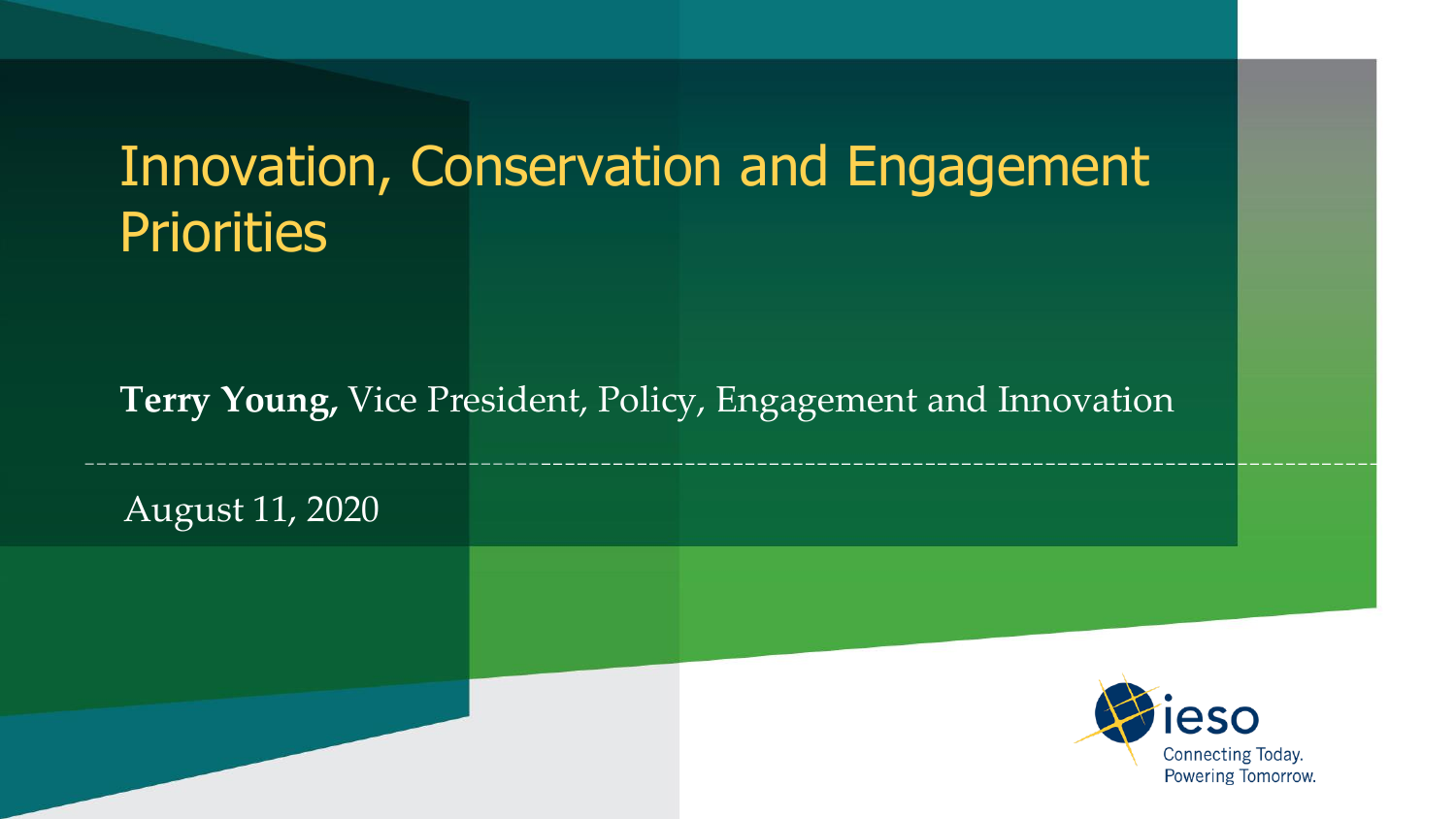# Innovation, Conservation and Engagement **Priorities**

#### **Terry Young,** Vice President, Policy, Engagement and Innovation

August 11, 2020

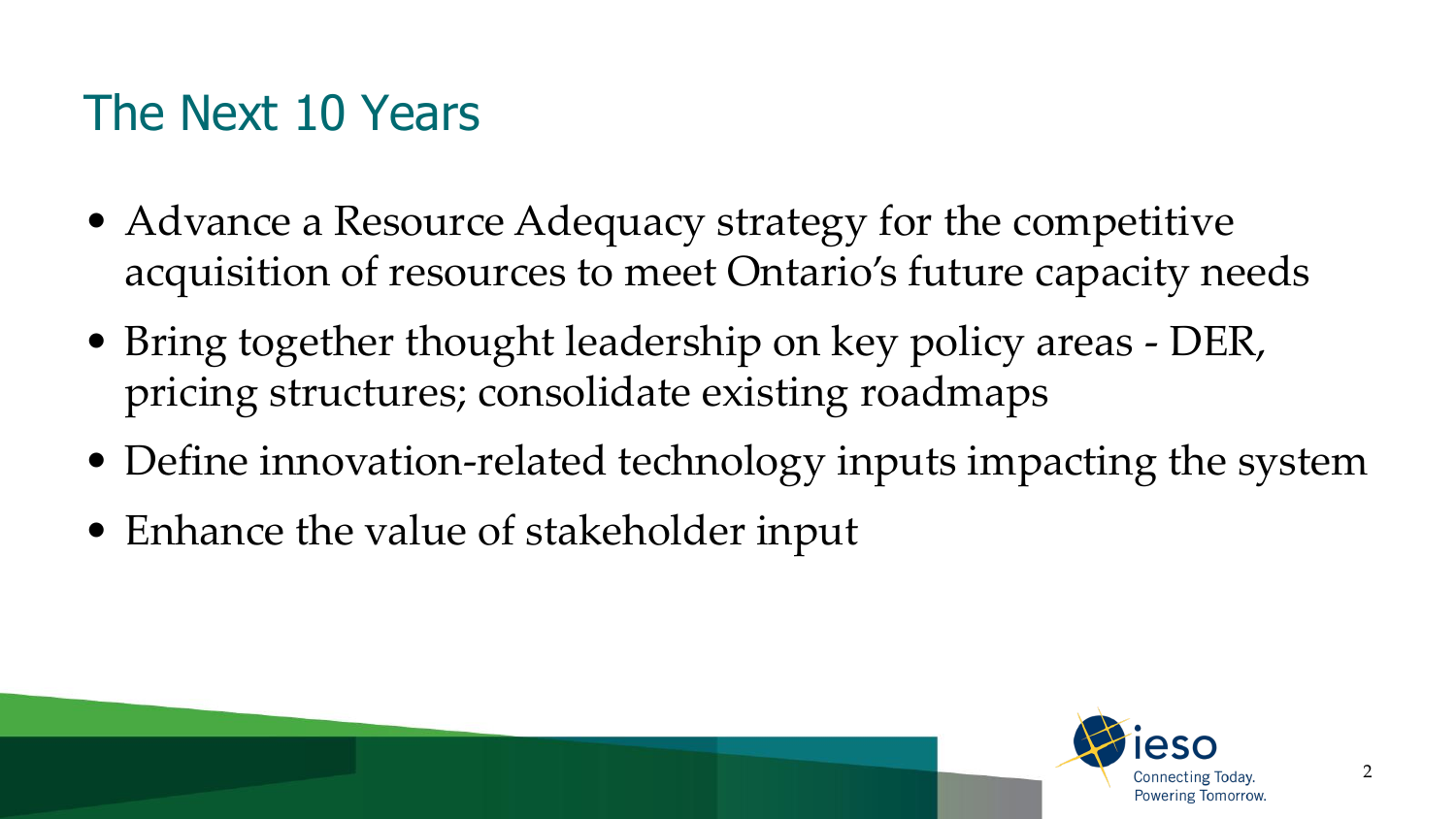### The Next 10 Years

- Advance a Resource Adequacy strategy for the competitive acquisition of resources to meet Ontario's future capacity needs
- Bring together thought leadership on key policy areas DER, pricing structures; consolidate existing roadmaps
- Define innovation-related technology inputs impacting the system
- Enhance the value of stakeholder input

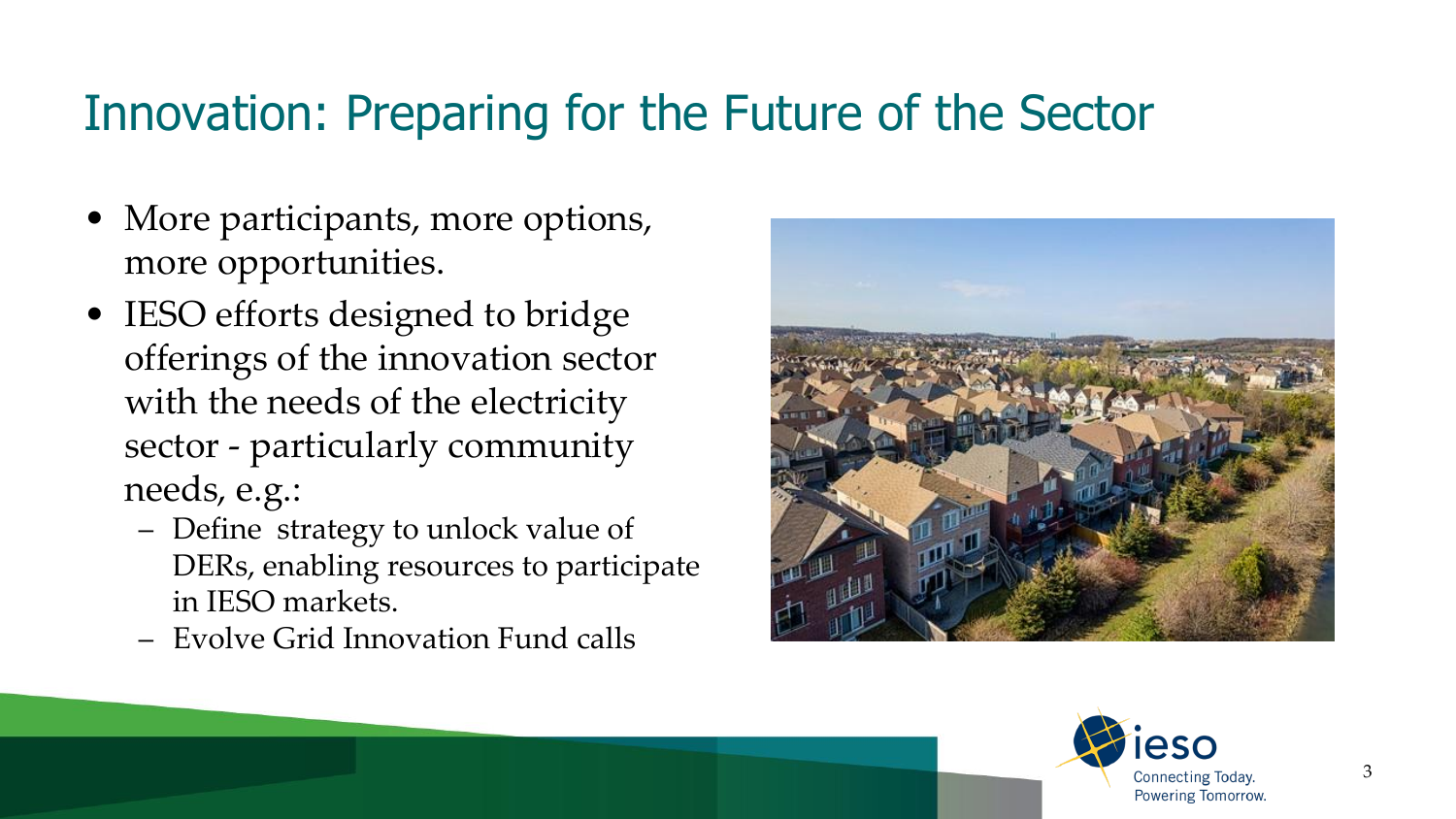#### Innovation: Preparing for the Future of the Sector

- More participants, more options, more opportunities.
- IESO efforts designed to bridge offerings of the innovation sector with the needs of the electricity sector - particularly community needs, e.g.:
	- Define strategy to unlock value of DERs, enabling resources to participate in IESO markets.
	- Evolve Grid Innovation Fund calls



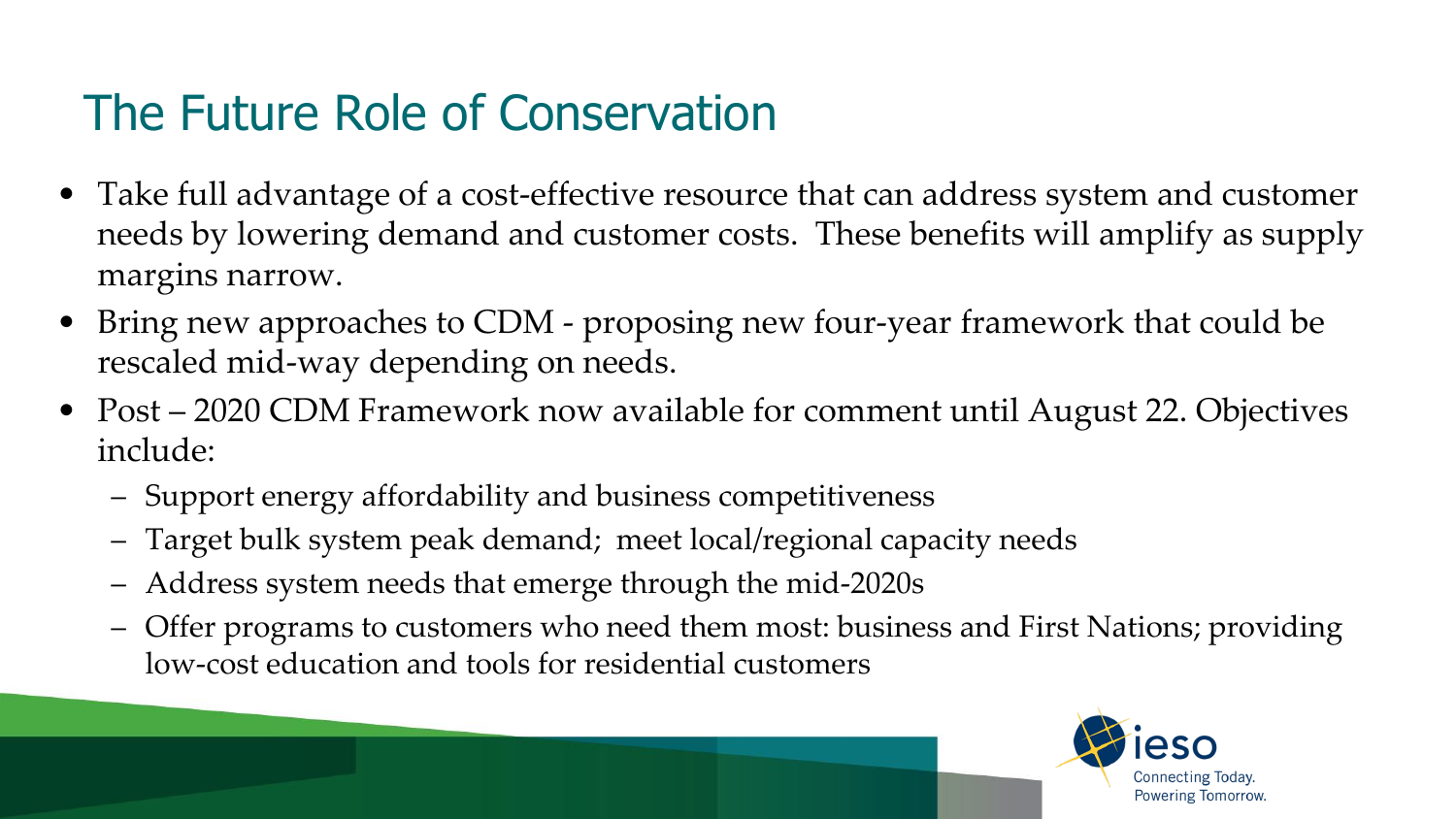## The Future Role of Conservation

- Take full advantage of a cost-effective resource that can address system and customer needs by lowering demand and customer costs. These benefits will amplify as supply margins narrow.
- Bring new approaches to CDM proposing new four-year framework that could be rescaled mid-way depending on needs.
- Post 2020 CDM Framework now available for comment until August 22. Objectives include:
	- Support energy affordability and business competitiveness
	- Target bulk system peak demand; meet local/regional capacity needs
	- Address system needs that emerge through the mid-2020s
	- Offer programs to customers who need them most: business and First Nations; providing low-cost education and tools for residential customers